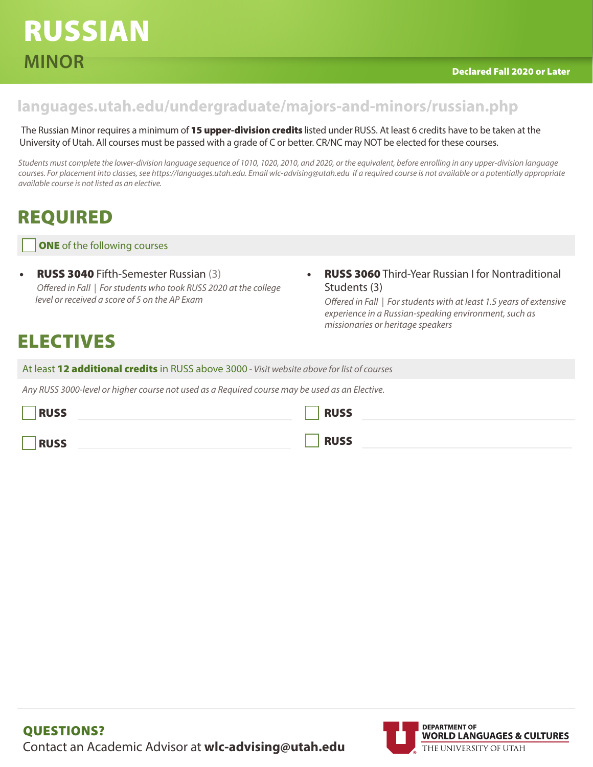### **languages.utah.edu/undergraduate/majors-and-minors/russian.php**

The Russian Minor requires a minimum of 15 upper-division credits listed under RUSS. At least 6 credits have to be taken at the University of Utah. All courses must be passed with a grade of C or better. CR/NC may NOT be elected for these courses.

*Students must complete the lower-division language sequence of 1010, 1020, 2010, and 2020, or the equivalent, before enrolling in any upper-division language courses. For placement into classes, see https://languages.utah.edu. Email wlc-advising@utah.edu if a required course is not available or a potentially appropriate available course is not listed as an elective.* 

## REQUIRED

**ONE** of the following courses

- RUSS 3040 Fifth-Semester Russian (3) *Offered in Fall | For students who took RUSS 2020 at the college level or received a score of 5 on the AP Exam*
- RUSS 3060 Third-Year Russian I for Nontraditional Students (3)

 *Offered in Fall | For students with at least 1.5 years of extensive experience in a Russian-speaking environment, such as missionaries or heritage speakers*

## ELECTIVES

At least 12 additional credits in RUSS above 3000 *- Visit website above for list of courses*

*Any RUSS 3000-level or higher course not used as a Required course may be used as an Elective.* 

| <b>RUSS</b> | <b>RUSS</b> |
|-------------|-------------|
| <b>RUSS</b> | <b>RUSS</b> |